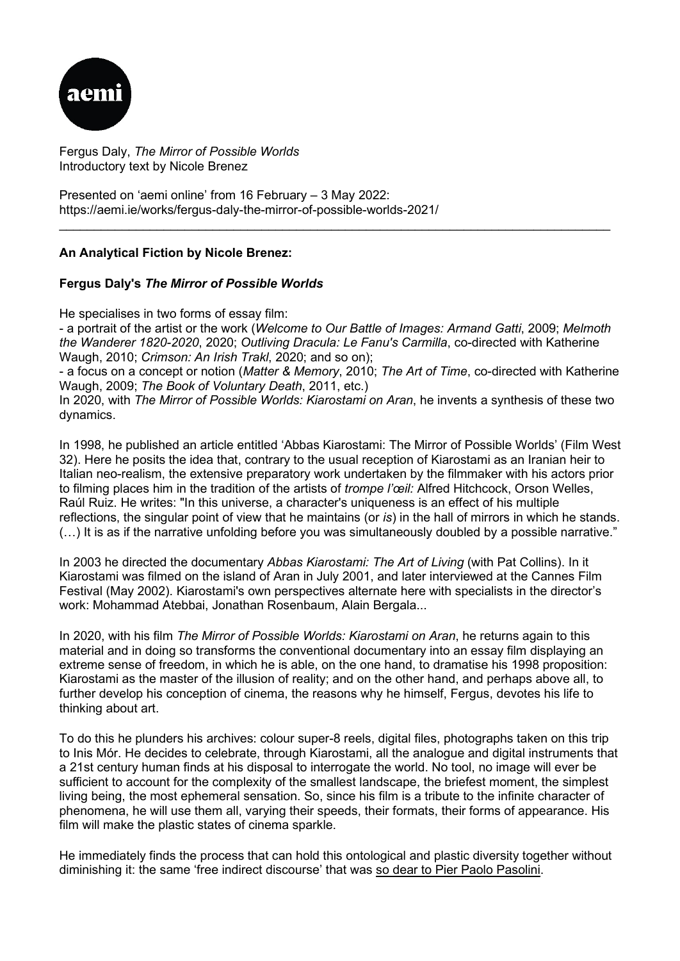

Fergus Daly, *The Mirror of Possible Worlds* Introductory text by Nicole Brenez

Presented on 'aemi online' from 16 February – 3 May 2022: https://aemi.ie/works/fergus-daly-the-mirror-of-possible-worlds-2021/

## **An Analytical Fiction by Nicole Brenez:**

## **Fergus Daly's** *The Mirror of Possible Worlds*

He specialises in two forms of essay film:

- a portrait of the artist or the work (*Welcome to Our Battle of Images: Armand Gatti*, 2009; *Melmoth the Wanderer 1820-2020*, 2020; *Outliving Dracula: Le Fanu's Carmilla*, co-directed with Katherine Waugh, 2010; *Crimson: An Irish Trakl*, 2020; and so on);

\_\_\_\_\_\_\_\_\_\_\_\_\_\_\_\_\_\_\_\_\_\_\_\_\_\_\_\_\_\_\_\_\_\_\_\_\_\_\_\_\_\_\_\_\_\_\_\_\_\_\_\_\_\_\_\_\_\_\_\_\_\_\_\_\_\_\_\_\_\_\_\_\_\_\_\_\_\_\_

- a focus on a concept or notion (*Matter & Memory*, 2010; *The Art of Time*, co-directed with Katherine Waugh, 2009; *The Book of Voluntary Death*, 2011, etc.)

In 2020, with *The Mirror of Possible Worlds: Kiarostami on Aran*, he invents a synthesis of these two dynamics.

In 1998, he published an article entitled 'Abbas Kiarostami: The Mirror of Possible Worlds' (Film West 32). Here he posits the idea that, contrary to the usual reception of Kiarostami as an Iranian heir to Italian neo-realism, the extensive preparatory work undertaken by the filmmaker with his actors prior to filming places him in the tradition of the artists of *trompe l'œil:* Alfred Hitchcock, Orson Welles, Raúl Ruiz. He writes: "In this universe, a character's uniqueness is an effect of his multiple reflections, the singular point of view that he maintains (or *is*) in the hall of mirrors in which he stands. (…) It is as if the narrative unfolding before you was simultaneously doubled by a possible narrative."

In 2003 he directed the documentary *Abbas Kiarostami: The Art of Living* (with Pat Collins). In it Kiarostami was filmed on the island of Aran in July 2001, and later interviewed at the Cannes Film Festival (May 2002). Kiarostami's own perspectives alternate here with specialists in the director's work: Mohammad Atebbai, Jonathan Rosenbaum, Alain Bergala...

In 2020, with his film *The Mirror of Possible Worlds: Kiarostami on Aran*, he returns again to this material and in doing so transforms the conventional documentary into an essay film displaying an extreme sense of freedom, in which he is able, on the one hand, to dramatise his 1998 proposition: Kiarostami as the master of the illusion of reality; and on the other hand, and perhaps above all, to further develop his conception of cinema, the reasons why he himself, Fergus, devotes his life to thinking about art.

To do this he plunders his archives: colour super-8 reels, digital files, photographs taken on this trip to Inis Mór. He decides to celebrate, through Kiarostami, all the analogue and digital instruments that a 21st century human finds at his disposal to interrogate the world. No tool, no image will ever be sufficient to account for the complexity of the smallest landscape, the briefest moment, the simplest living being, the most ephemeral sensation. So, since his film is a tribute to the infinite character of phenomena, he will use them all, varying their speeds, their formats, their forms of appearance. His film will make the plastic states of cinema sparkle.

He immediately finds the process that can hold this ontological and plastic diversity together without diminishing it: the same 'free indirect discourse' that was [so dear to Pier Paolo Pasolini.](https://rupkatha.com/free-indirect-discourse/)